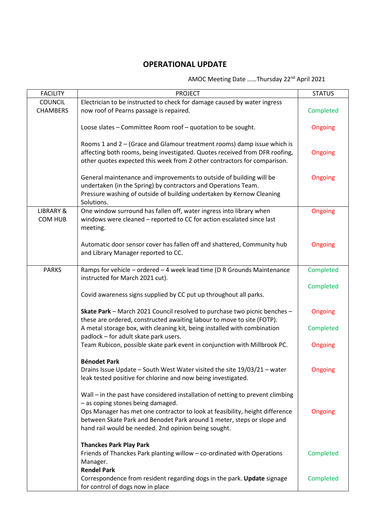## **OPERATIONAL UPDATE**

## AMOC Meeting Date ……Thursday 22nd April 2021

| <b>FACILITY</b>                   | <b>PROJECT</b>                                                                                                                                                                                                                                                                                                                        | <b>STATUS</b> |
|-----------------------------------|---------------------------------------------------------------------------------------------------------------------------------------------------------------------------------------------------------------------------------------------------------------------------------------------------------------------------------------|---------------|
| <b>COUNCIL</b><br><b>CHAMBERS</b> | Electrician to be instructed to check for damage caused by water ingress<br>now roof of Pearns passage is repaired.                                                                                                                                                                                                                   | Completed     |
|                                   | Loose slates - Committee Room roof - quotation to be sought.                                                                                                                                                                                                                                                                          | Ongoing       |
|                                   | Rooms 1 and $2 -$ (Grace and Glamour treatment rooms) damp issue which is<br>affecting both rooms, being investigated. Quotes received from DFR roofing,<br>other quotes expected this week from 2 other contractors for comparison.                                                                                                  | Ongoing       |
|                                   | General maintenance and improvements to outside of building will be<br>undertaken (in the Spring) by contractors and Operations Team.<br>Pressure washing of outside of building undertaken by Kernow Cleaning<br>Solutions.                                                                                                          | Ongoing       |
| <b>LIBRARY &amp;</b><br>COM HUB   | One window surround has fallen off, water ingress into library when<br>windows were cleaned - reported to CC for action escalated since last<br>meeting.                                                                                                                                                                              | Ongoing       |
|                                   | Automatic door sensor cover has fallen off and shattered, Community hub<br>and Library Manager reported to CC.                                                                                                                                                                                                                        | Ongoing       |
| <b>PARKS</b>                      | Ramps for vehicle - ordered - 4 week lead time (D R Grounds Maintenance<br>instructed for March 2021 cut).                                                                                                                                                                                                                            | Completed     |
|                                   | Covid awareness signs supplied by CC put up throughout all parks.                                                                                                                                                                                                                                                                     | Completed     |
|                                   | Skate Park - March 2021 Council resolved to purchase two picnic benches -<br>these are ordered, constructed awaiting labour to move to site (FOTP).                                                                                                                                                                                   | Ongoing       |
|                                   | A metal storage box, with cleaning kit, being installed with combination<br>padlock - for adult skate park users.                                                                                                                                                                                                                     | Completed     |
|                                   | Team Rubicon, possible skate park event in conjunction with Millbrook PC.                                                                                                                                                                                                                                                             | Ongoing       |
|                                   | <b>Bénodet Park</b><br>Drains Issue Update - South West Water visited the site 19/03/21 - water<br>leak tested positive for chlorine and now being investigated.                                                                                                                                                                      | Ongoing       |
|                                   | Wall - in the past have considered installation of netting to prevent climbing<br>- as coping stones being damaged.<br>Ops Manager has met one contractor to look at feasibility, height difference<br>between Skate Park and Benodet Park around 1 meter, steps or slope and<br>hand rail would be needed. 2nd opinion being sought. | Ongoing       |
|                                   | <b>Thanckes Park Play Park</b><br>Friends of Thanckes Park planting willow - co-ordinated with Operations<br>Manager.<br><b>Rendel Park</b>                                                                                                                                                                                           | Completed     |
|                                   | Correspondence from resident regarding dogs in the park. Update signage<br>for control of dogs now in place                                                                                                                                                                                                                           | Completed     |